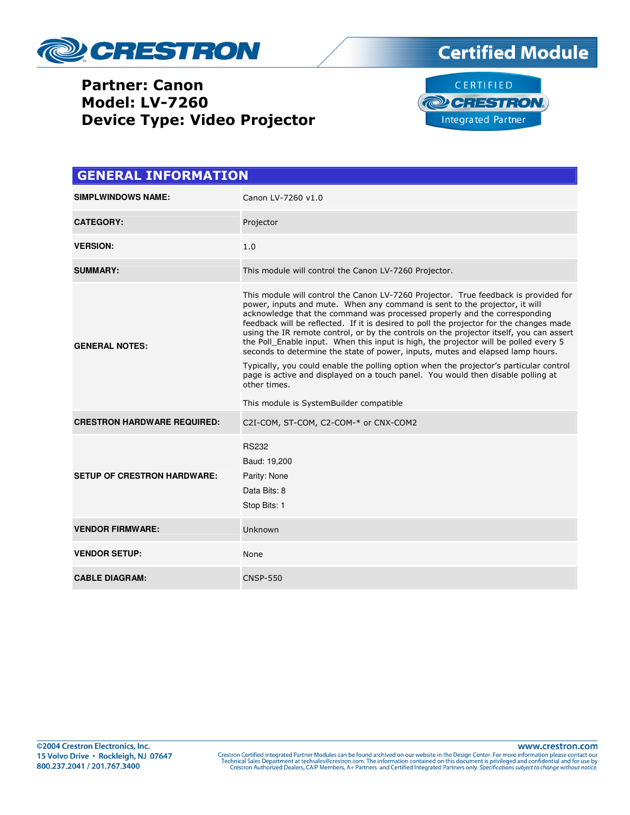

## Partner: Canon Model: LV-7260 Device Type: Video Projector





| <b>GENERAL INFORMATION</b>         |                                                                                                                                                                                                                                                                                                                                                                                                                                                                                                                                                                                                                                                                                                                                                                                                                                                         |  |  |
|------------------------------------|---------------------------------------------------------------------------------------------------------------------------------------------------------------------------------------------------------------------------------------------------------------------------------------------------------------------------------------------------------------------------------------------------------------------------------------------------------------------------------------------------------------------------------------------------------------------------------------------------------------------------------------------------------------------------------------------------------------------------------------------------------------------------------------------------------------------------------------------------------|--|--|
| <b>SIMPLWINDOWS NAME:</b>          | Canon LV-7260 v1.0                                                                                                                                                                                                                                                                                                                                                                                                                                                                                                                                                                                                                                                                                                                                                                                                                                      |  |  |
| <b>CATEGORY:</b>                   | Projector                                                                                                                                                                                                                                                                                                                                                                                                                                                                                                                                                                                                                                                                                                                                                                                                                                               |  |  |
| <b>VERSION:</b>                    | 1.0                                                                                                                                                                                                                                                                                                                                                                                                                                                                                                                                                                                                                                                                                                                                                                                                                                                     |  |  |
| <b>SUMMARY:</b>                    | This module will control the Canon LV-7260 Projector.                                                                                                                                                                                                                                                                                                                                                                                                                                                                                                                                                                                                                                                                                                                                                                                                   |  |  |
| <b>GENERAL NOTES:</b>              | This module will control the Canon LV-7260 Projector. True feedback is provided for<br>power, inputs and mute. When any command is sent to the projector, it will<br>acknowledge that the command was processed properly and the corresponding<br>feedback will be reflected. If it is desired to poll the projector for the changes made<br>using the IR remote control, or by the controls on the projector itself, you can assert<br>the Poll Enable input. When this input is high, the projector will be polled every 5<br>seconds to determine the state of power, inputs, mutes and elapsed lamp hours.<br>Typically, you could enable the polling option when the projector's particular control<br>page is active and displayed on a touch panel. You would then disable polling at<br>other times.<br>This module is SystemBuilder compatible |  |  |
| <b>CRESTRON HARDWARE REQUIRED:</b> | C2I-COM, ST-COM, C2-COM-* or CNX-COM2                                                                                                                                                                                                                                                                                                                                                                                                                                                                                                                                                                                                                                                                                                                                                                                                                   |  |  |
| <b>SETUP OF CRESTRON HARDWARE:</b> | <b>RS232</b><br>Baud: 19,200<br>Parity: None<br>Data Bits: 8<br>Stop Bits: 1                                                                                                                                                                                                                                                                                                                                                                                                                                                                                                                                                                                                                                                                                                                                                                            |  |  |
| <b>VENDOR FIRMWARE:</b>            | Unknown                                                                                                                                                                                                                                                                                                                                                                                                                                                                                                                                                                                                                                                                                                                                                                                                                                                 |  |  |
| <b>VENDOR SETUP:</b>               | None                                                                                                                                                                                                                                                                                                                                                                                                                                                                                                                                                                                                                                                                                                                                                                                                                                                    |  |  |
| <b>CABLE DIAGRAM:</b>              | <b>CNSP-550</b>                                                                                                                                                                                                                                                                                                                                                                                                                                                                                                                                                                                                                                                                                                                                                                                                                                         |  |  |

www.crestron.com Crestron Certified Integrated Partner Modules can be found archived on our website in the Design Center. For more information please contact our<br>Technical Sales Department at techsales@crestron.com. The information contain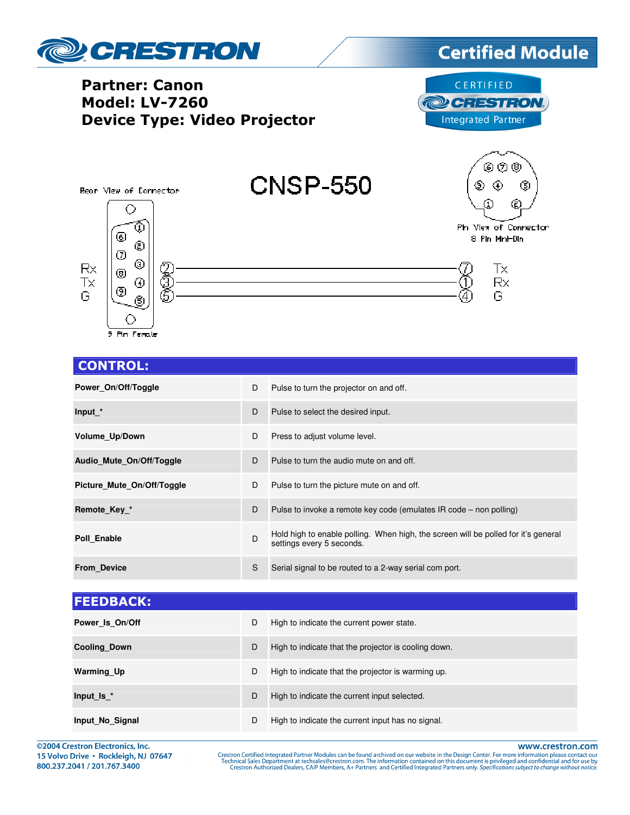

## CONTROL:

| Power On/Off/Toggle        | D | Pulse to turn the projector on and off.                                                                         |
|----------------------------|---|-----------------------------------------------------------------------------------------------------------------|
| Input_*                    | D | Pulse to select the desired input.                                                                              |
| Volume Up/Down             | D | Press to adjust volume level.                                                                                   |
| Audio Mute On/Off/Toggle   | D | Pulse to turn the audio mute on and off.                                                                        |
| Picture Mute On/Off/Toggle | D | Pulse to turn the picture mute on and off.                                                                      |
| Remote Key *               | D | Pulse to invoke a remote key code (emulates IR code – non polling)                                              |
| Poll Enable                | D | Hold high to enable polling. When high, the screen will be polled for it's general<br>settings every 5 seconds. |
| <b>From Device</b>         | S | Serial signal to be routed to a 2-way serial com port.                                                          |

| <b>FEEDBACK:</b>    |   |                                                      |
|---------------------|---|------------------------------------------------------|
| Power Is On/Off     | D | High to indicate the current power state.            |
| <b>Cooling Down</b> | D | High to indicate that the projector is cooling down. |
| <b>Warming Up</b>   | D | High to indicate that the projector is warming up.   |
| Input Is $*$        | D | High to indicate the current input selected.         |
| Input No Signal     | D | High to indicate the current input has no signal.    |

©2004 Crestron Electronics, Inc. 15 Volvo Drive · Rockleigh, NJ 07647 800.237.2041 / 201.767.3400

www.crestron.com

Crestron Certified Integrated Partner Modules can be found archived on our website in the Design Center. For more information please contact our Technical Sales Department at techsales@crestron.com. The information contain